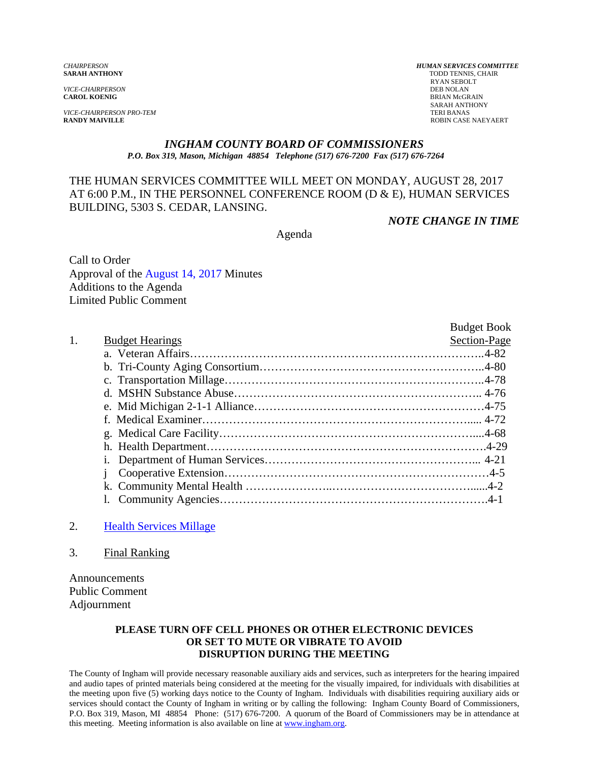*VICE-CHAIRPERSON*<br>**CAROL KOENIG** 

**VICE-CHAIRPERSON PRO-TEM**<br>**RANDY MAIVILLE** 

*CHAIRPERSON HUMAN SERVICES COMMITTEE* TODD TENNIS, CHAIR RYAN SEBOLT<br>DEB NOLAN **BRIAN McGRAIN** SARAH ANTHONY<br>TERI BANAS **ROBIN CASE NAEYAERT** 

#### *INGHAM COUNTY BOARD OF COMMISSIONERS P.O. Box 319, Mason, Michigan 48854 Telephone (517) 676-7200 Fax (517) 676-7264*

#### THE HUMAN SERVICES COMMITTEE WILL MEET ON MONDAY, AUGUST 28, 2017 AT 6:00 P.M., IN THE PERSONNEL CONFERENCE ROOM (D & E), HUMAN SERVICES BUILDING, 5303 S. CEDAR, LANSING.

*NOTE CHANGE IN TIME* 

Agenda

Call to Order Approval o[f the August 14, 2017 Minutes](#page-1-0)  Additions to the Agenda Limited Public Comment

|    |                        | <b>Budget Book</b> |
|----|------------------------|--------------------|
| 1. | <b>Budget Hearings</b> | Section-Page       |
|    |                        |                    |
|    |                        |                    |
|    |                        |                    |
|    |                        |                    |
|    |                        |                    |
|    |                        |                    |
|    |                        |                    |
|    |                        |                    |
|    | $\mathbf{1}$ .         |                    |
|    |                        |                    |
|    |                        |                    |
|    |                        |                    |

#### 2. [Health Services Millage](#page-8-0)

3. Final Ranking

Announcements Public Comment Adjournment

#### **PLEASE TURN OFF CELL PHONES OR OTHER ELECTRONIC DEVICES OR SET TO MUTE OR VIBRATE TO AVOID DISRUPTION DURING THE MEETING**

The County of Ingham will provide necessary reasonable auxiliary aids and services, such as interpreters for the hearing impaired and audio tapes of printed materials being considered at the meeting for the visually impaired, for individuals with disabilities at the meeting upon five (5) working days notice to the County of Ingham. Individuals with disabilities requiring auxiliary aids or services should contact the County of Ingham in writing or by calling the following: Ingham County Board of Commissioners, P.O. Box 319, Mason, MI 48854 Phone: (517) 676-7200. A quorum of the Board of Commissioners may be in attendance at this meeting. Meeting information is also available on line at www.ingham.org.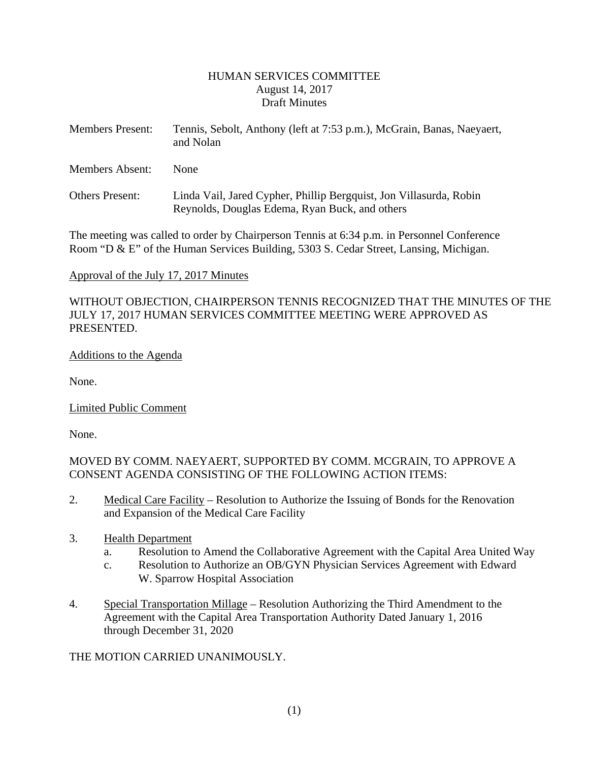#### HUMAN SERVICES COMMITTEE August 14, 2017 Draft Minutes

<span id="page-1-0"></span>

| <b>Members Present:</b> | Tennis, Sebolt, Anthony (left at 7:53 p.m.), McGrain, Banas, Naeyaert,<br>and Nolan                                  |
|-------------------------|----------------------------------------------------------------------------------------------------------------------|
| Members Absent:         | <b>None</b>                                                                                                          |
| <b>Others Present:</b>  | Linda Vail, Jared Cypher, Phillip Bergquist, Jon Villasurda, Robin<br>Reynolds, Douglas Edema, Ryan Buck, and others |

The meeting was called to order by Chairperson Tennis at 6:34 p.m. in Personnel Conference Room "D & E" of the Human Services Building, 5303 S. Cedar Street, Lansing, Michigan.

### Approval of the July 17, 2017 Minutes

WITHOUT OBJECTION, CHAIRPERSON TENNIS RECOGNIZED THAT THE MINUTES OF THE JULY 17, 2017 HUMAN SERVICES COMMITTEE MEETING WERE APPROVED AS PRESENTED.

#### Additions to the Agenda

None.

Limited Public Comment

None.

MOVED BY COMM. NAEYAERT, SUPPORTED BY COMM. MCGRAIN, TO APPROVE A CONSENT AGENDA CONSISTING OF THE FOLLOWING ACTION ITEMS:

- 2. Medical Care Facility Resolution to Authorize the Issuing of Bonds for the Renovation and Expansion of the Medical Care Facility
- 3. Health Department
	- a. Resolution to Amend the Collaborative Agreement with the Capital Area United Way
	- c. Resolution to Authorize an OB/GYN Physician Services Agreement with Edward W. Sparrow Hospital Association
- 4. Special Transportation Millage Resolution Authorizing the Third Amendment to the Agreement with the Capital Area Transportation Authority Dated January 1, 2016 through December 31, 2020

THE MOTION CARRIED UNANIMOUSLY.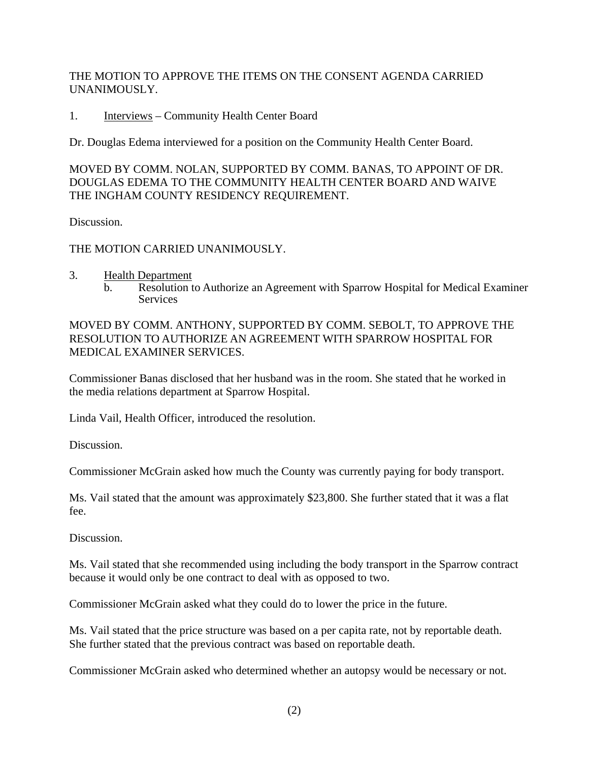THE MOTION TO APPROVE THE ITEMS ON THE CONSENT AGENDA CARRIED UNANIMOUSLY.

1. Interviews – Community Health Center Board

Dr. Douglas Edema interviewed for a position on the Community Health Center Board.

MOVED BY COMM. NOLAN, SUPPORTED BY COMM. BANAS, TO APPOINT OF DR. DOUGLAS EDEMA TO THE COMMUNITY HEALTH CENTER BOARD AND WAIVE THE INGHAM COUNTY RESIDENCY REQUIREMENT.

Discussion.

THE MOTION CARRIED UNANIMOUSLY.

- 3. Health Department
	- b. Resolution to Authorize an Agreement with Sparrow Hospital for Medical Examiner **Services**

MOVED BY COMM. ANTHONY, SUPPORTED BY COMM. SEBOLT, TO APPROVE THE RESOLUTION TO AUTHORIZE AN AGREEMENT WITH SPARROW HOSPITAL FOR MEDICAL EXAMINER SERVICES.

Commissioner Banas disclosed that her husband was in the room. She stated that he worked in the media relations department at Sparrow Hospital.

Linda Vail, Health Officer, introduced the resolution.

Discussion.

Commissioner McGrain asked how much the County was currently paying for body transport.

Ms. Vail stated that the amount was approximately \$23,800. She further stated that it was a flat fee.

Discussion.

Ms. Vail stated that she recommended using including the body transport in the Sparrow contract because it would only be one contract to deal with as opposed to two.

Commissioner McGrain asked what they could do to lower the price in the future.

Ms. Vail stated that the price structure was based on a per capita rate, not by reportable death. She further stated that the previous contract was based on reportable death.

Commissioner McGrain asked who determined whether an autopsy would be necessary or not.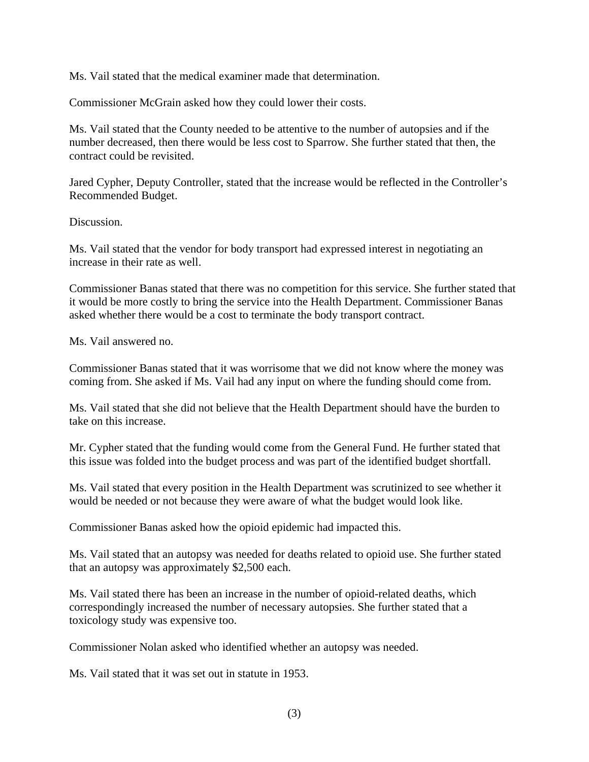Ms. Vail stated that the medical examiner made that determination.

Commissioner McGrain asked how they could lower their costs.

Ms. Vail stated that the County needed to be attentive to the number of autopsies and if the number decreased, then there would be less cost to Sparrow. She further stated that then, the contract could be revisited.

Jared Cypher, Deputy Controller, stated that the increase would be reflected in the Controller's Recommended Budget.

Discussion.

Ms. Vail stated that the vendor for body transport had expressed interest in negotiating an increase in their rate as well.

Commissioner Banas stated that there was no competition for this service. She further stated that it would be more costly to bring the service into the Health Department. Commissioner Banas asked whether there would be a cost to terminate the body transport contract.

Ms. Vail answered no.

Commissioner Banas stated that it was worrisome that we did not know where the money was coming from. She asked if Ms. Vail had any input on where the funding should come from.

Ms. Vail stated that she did not believe that the Health Department should have the burden to take on this increase.

Mr. Cypher stated that the funding would come from the General Fund. He further stated that this issue was folded into the budget process and was part of the identified budget shortfall.

Ms. Vail stated that every position in the Health Department was scrutinized to see whether it would be needed or not because they were aware of what the budget would look like.

Commissioner Banas asked how the opioid epidemic had impacted this.

Ms. Vail stated that an autopsy was needed for deaths related to opioid use. She further stated that an autopsy was approximately \$2,500 each.

Ms. Vail stated there has been an increase in the number of opioid-related deaths, which correspondingly increased the number of necessary autopsies. She further stated that a toxicology study was expensive too.

Commissioner Nolan asked who identified whether an autopsy was needed.

Ms. Vail stated that it was set out in statute in 1953.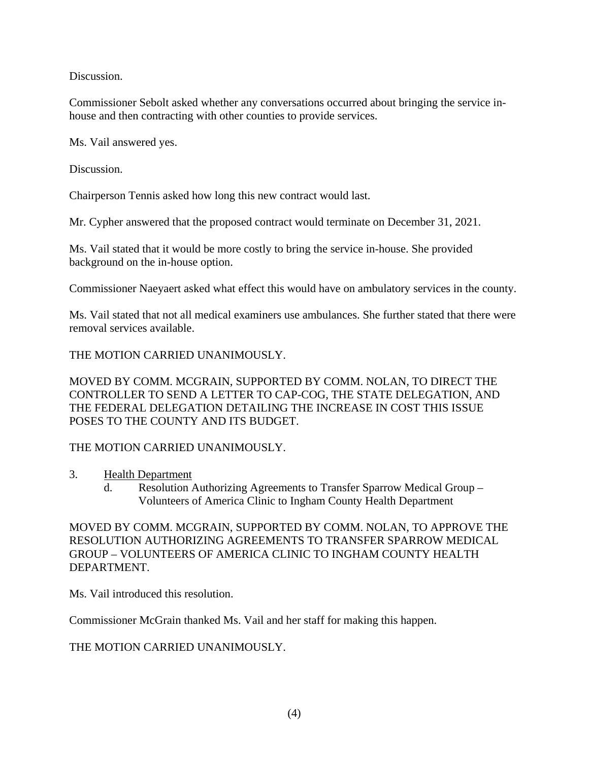Discussion.

Commissioner Sebolt asked whether any conversations occurred about bringing the service inhouse and then contracting with other counties to provide services.

Ms. Vail answered yes.

Discussion.

Chairperson Tennis asked how long this new contract would last.

Mr. Cypher answered that the proposed contract would terminate on December 31, 2021.

Ms. Vail stated that it would be more costly to bring the service in-house. She provided background on the in-house option.

Commissioner Naeyaert asked what effect this would have on ambulatory services in the county.

Ms. Vail stated that not all medical examiners use ambulances. She further stated that there were removal services available.

THE MOTION CARRIED UNANIMOUSLY.

MOVED BY COMM. MCGRAIN, SUPPORTED BY COMM. NOLAN, TO DIRECT THE CONTROLLER TO SEND A LETTER TO CAP-COG, THE STATE DELEGATION, AND THE FEDERAL DELEGATION DETAILING THE INCREASE IN COST THIS ISSUE POSES TO THE COUNTY AND ITS BUDGET.

THE MOTION CARRIED UNANIMOUSLY.

- 3. Health Department
	- d. Resolution Authorizing Agreements to Transfer Sparrow Medical Group Volunteers of America Clinic to Ingham County Health Department

MOVED BY COMM. MCGRAIN, SUPPORTED BY COMM. NOLAN, TO APPROVE THE RESOLUTION AUTHORIZING AGREEMENTS TO TRANSFER SPARROW MEDICAL GROUP – VOLUNTEERS OF AMERICA CLINIC TO INGHAM COUNTY HEALTH DEPARTMENT.

Ms. Vail introduced this resolution.

Commissioner McGrain thanked Ms. Vail and her staff for making this happen.

THE MOTION CARRIED UNANIMOUSLY.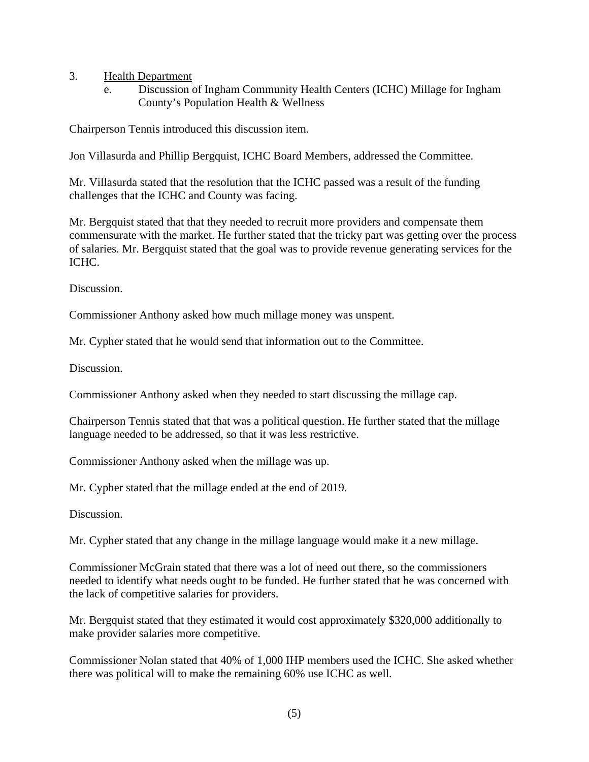- 3. Health Department
	- e. Discussion of Ingham Community Health Centers (ICHC) Millage for Ingham County's Population Health & Wellness

Chairperson Tennis introduced this discussion item.

Jon Villasurda and Phillip Bergquist, ICHC Board Members, addressed the Committee.

Mr. Villasurda stated that the resolution that the ICHC passed was a result of the funding challenges that the ICHC and County was facing.

Mr. Bergquist stated that that they needed to recruit more providers and compensate them commensurate with the market. He further stated that the tricky part was getting over the process of salaries. Mr. Bergquist stated that the goal was to provide revenue generating services for the ICHC.

Discussion.

Commissioner Anthony asked how much millage money was unspent.

Mr. Cypher stated that he would send that information out to the Committee.

Discussion.

Commissioner Anthony asked when they needed to start discussing the millage cap.

Chairperson Tennis stated that that was a political question. He further stated that the millage language needed to be addressed, so that it was less restrictive.

Commissioner Anthony asked when the millage was up.

Mr. Cypher stated that the millage ended at the end of 2019.

Discussion.

Mr. Cypher stated that any change in the millage language would make it a new millage.

Commissioner McGrain stated that there was a lot of need out there, so the commissioners needed to identify what needs ought to be funded. He further stated that he was concerned with the lack of competitive salaries for providers.

Mr. Bergquist stated that they estimated it would cost approximately \$320,000 additionally to make provider salaries more competitive.

Commissioner Nolan stated that 40% of 1,000 IHP members used the ICHC. She asked whether there was political will to make the remaining 60% use ICHC as well.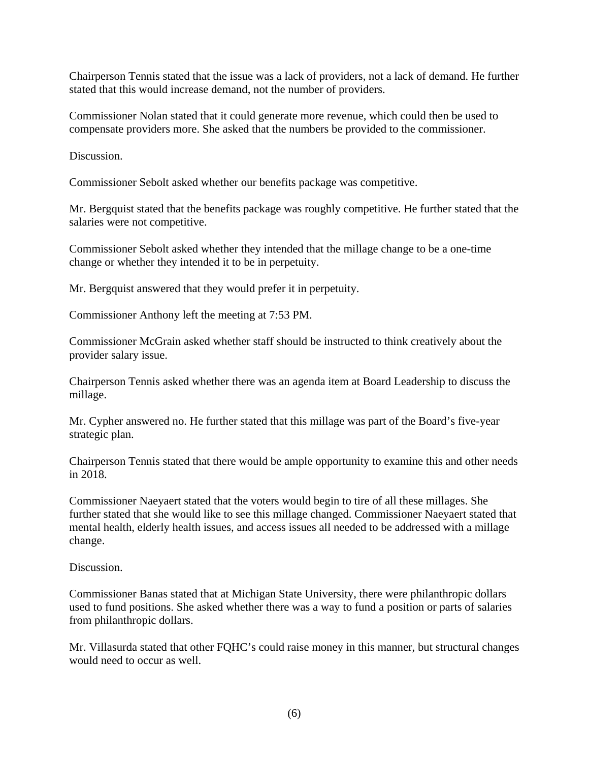Chairperson Tennis stated that the issue was a lack of providers, not a lack of demand. He further stated that this would increase demand, not the number of providers.

Commissioner Nolan stated that it could generate more revenue, which could then be used to compensate providers more. She asked that the numbers be provided to the commissioner.

Discussion.

Commissioner Sebolt asked whether our benefits package was competitive.

Mr. Bergquist stated that the benefits package was roughly competitive. He further stated that the salaries were not competitive.

Commissioner Sebolt asked whether they intended that the millage change to be a one-time change or whether they intended it to be in perpetuity.

Mr. Bergquist answered that they would prefer it in perpetuity.

Commissioner Anthony left the meeting at 7:53 PM.

Commissioner McGrain asked whether staff should be instructed to think creatively about the provider salary issue.

Chairperson Tennis asked whether there was an agenda item at Board Leadership to discuss the millage.

Mr. Cypher answered no. He further stated that this millage was part of the Board's five-year strategic plan.

Chairperson Tennis stated that there would be ample opportunity to examine this and other needs in 2018.

Commissioner Naeyaert stated that the voters would begin to tire of all these millages. She further stated that she would like to see this millage changed. Commissioner Naeyaert stated that mental health, elderly health issues, and access issues all needed to be addressed with a millage change.

Discussion.

Commissioner Banas stated that at Michigan State University, there were philanthropic dollars used to fund positions. She asked whether there was a way to fund a position or parts of salaries from philanthropic dollars.

Mr. Villasurda stated that other FQHC's could raise money in this manner, but structural changes would need to occur as well.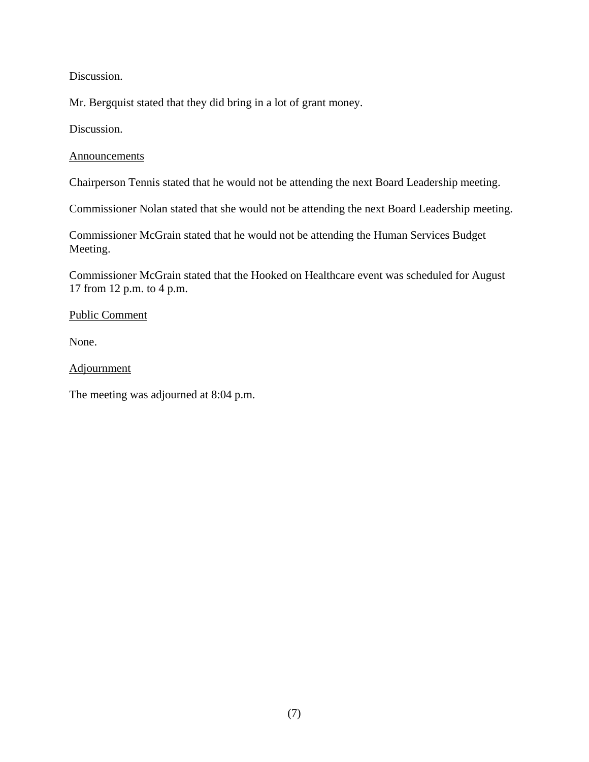Discussion.

Mr. Bergquist stated that they did bring in a lot of grant money.

Discussion.

#### Announcements

Chairperson Tennis stated that he would not be attending the next Board Leadership meeting.

Commissioner Nolan stated that she would not be attending the next Board Leadership meeting.

Commissioner McGrain stated that he would not be attending the Human Services Budget Meeting.

Commissioner McGrain stated that the Hooked on Healthcare event was scheduled for August 17 from 12 p.m. to 4 p.m.

#### Public Comment

None.

### **Adjournment**

The meeting was adjourned at 8:04 p.m.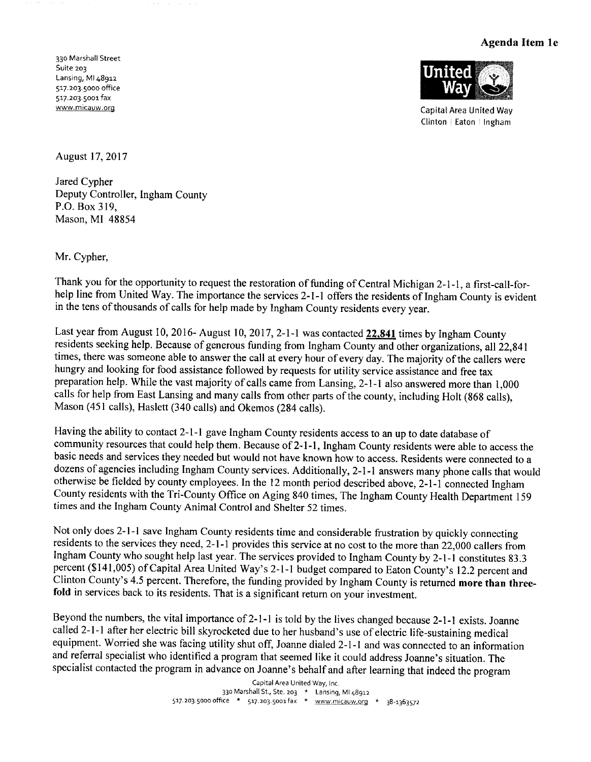#### Agenda Item 1e

330 Marshall Street Suite 203 Lansing, MI 48912 517.203.5000 office 517.203.5001 fax www.micauw.org



**Capital Area United Way** Clinton | Eaton | Ingham

August 17, 2017

Jared Cypher Deputy Controller, Ingham County P.O. Box 319, Mason, MI 48854

Mr. Cypher,

Thank you for the opportunity to request the restoration of funding of Central Michigan 2-1-1, a first-call-forhelp line from United Way. The importance the services 2-1-1 offers the residents of Ingham County is evident in the tens of thousands of calls for help made by Ingham County residents every year.

Last year from August 10, 2016-August 10, 2017, 2-1-1 was contacted 22,841 times by Ingham County residents seeking help. Because of generous funding from Ingham County and other organizations, all 22,841 times, there was someone able to answer the call at every hour of every day. The majority of the callers were hungry and looking for food assistance followed by requests for utility service assistance and free tax preparation help. While the vast majority of calls came from Lansing, 2-1-1 also answered more than 1,000 calls for help from East Lansing and many calls from other parts of the county, including Holt (868 calls), Mason (451 calls), Haslett (340 calls) and Okemos (284 calls).

Having the ability to contact 2-1-1 gave Ingham County residents access to an up to date database of community resources that could help them. Because of 2-1-1, Ingham County residents were able to access the basic needs and services they needed but would not have known how to access. Residents were connected to a dozens of agencies including Ingham County services. Additionally, 2-1-1 answers many phone calls that would otherwise be fielded by county employees. In the 12 month period described above, 2-1-1 connected Ingham County residents with the Tri-County Office on Aging 840 times, The Ingham County Health Department 159 times and the Ingham County Animal Control and Shelter 52 times.

Not only does 2-1-1 save Ingham County residents time and considerable frustration by quickly connecting residents to the services they need, 2-1-1 provides this service at no cost to the more than 22,000 callers from Ingham County who sought help last year. The services provided to Ingham County by 2-1-1 constitutes 83.3 percent (\$141,005) of Capital Area United Way's 2-1-1 budget compared to Eaton County's 12.2 percent and Clinton County's 4.5 percent. Therefore, the funding provided by Ingham County is returned more than threefold in services back to its residents. That is a significant return on your investment.

Beyond the numbers, the vital importance of 2-1-1 is told by the lives changed because 2-1-1 exists. Joanne called 2-1-1 after her electric bill skyrocketed due to her husband's use of electric life-sustaining medical equipment. Worried she was facing utility shut off, Joanne dialed 2-1-1 and was connected to an information and referral specialist who identified a program that seemed like it could address Joanne's situation. The specialist contacted the program in advance on Joanne's behalf and after learning that indeed the program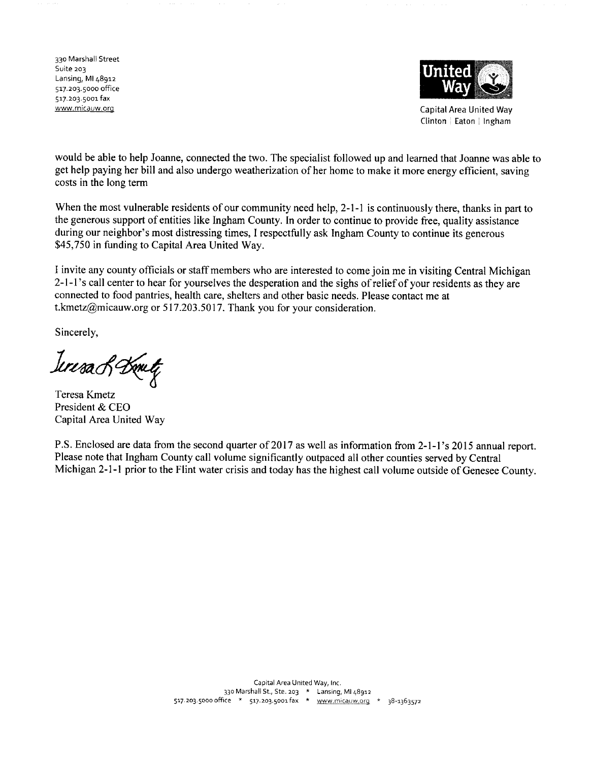330 Marshall Street Suite 203 Lansing, MI 48912 517.203.5000 office 517.203.5001 fax www.micauw.org



**Capital Area United Way** Clinton | Eaton | Ingham

would be able to help Joanne, connected the two. The specialist followed up and learned that Joanne was able to get help paying her bill and also undergo weatherization of her home to make it more energy efficient, saving costs in the long term

When the most vulnerable residents of our community need help, 2-1-1 is continuously there, thanks in part to the generous support of entities like Ingham County. In order to continue to provide free, quality assistance during our neighbor's most distressing times, I respectfully ask Ingham County to continue its generous \$45,750 in funding to Capital Area United Way.

I invite any county officials or staff members who are interested to come join me in visiting Central Michigan 2-1-1's call center to hear for yourselves the desperation and the sighs of relief of your residents as they are connected to food pantries, health care, shelters and other basic needs. Please contact me at t.kmetz@micauw.org or 517.203.5017. Thank you for your consideration.

Sincerely,

Icresa & Dometz

Teresa Kmetz President & CEO Capital Area United Way

P.S. Enclosed are data from the second quarter of 2017 as well as information from 2-1-1's 2015 annual report. Please note that Ingham County call volume significantly outpaced all other counties served by Central Michigan 2-1-1 prior to the Flint water crisis and today has the highest call volume outside of Genesee County.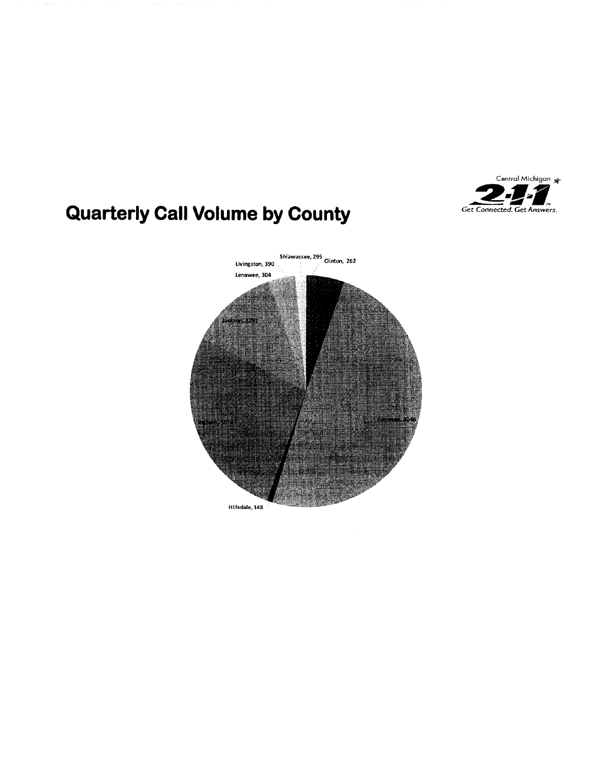

# **Quarterly Call Volume by County**

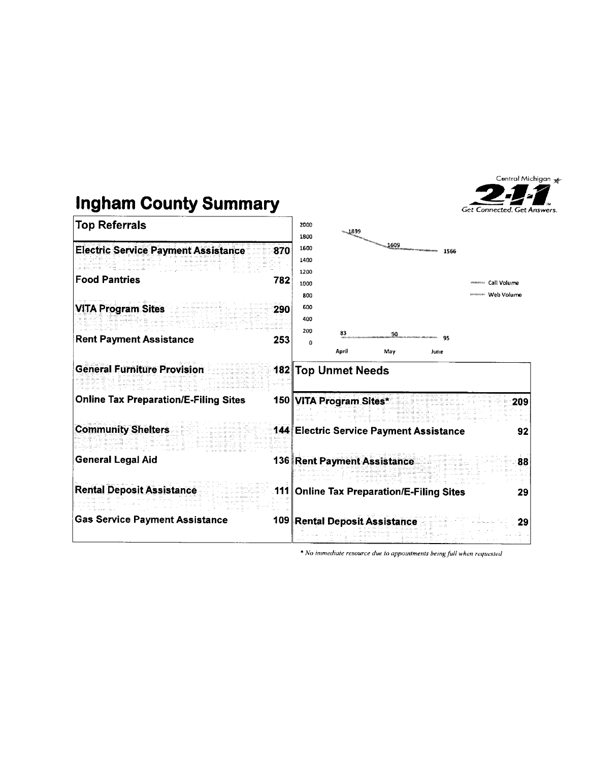



\* No immediate resource due to appointments being full when requested

Central Michigan

**Get Connected, Get Answers.**